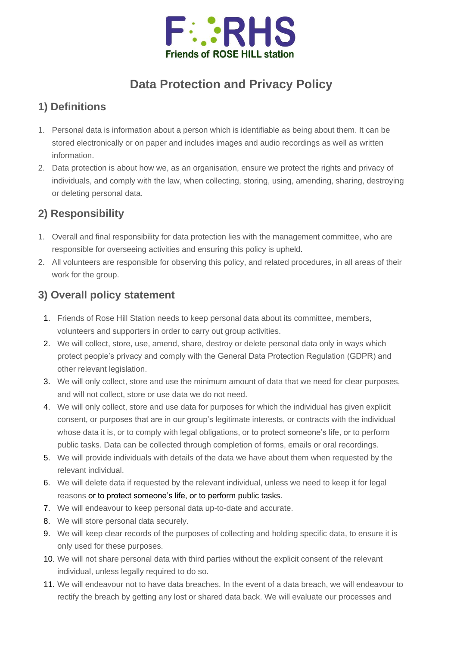

# **Data Protection and Privacy Policy**

# **1) Definitions**

- 1. Personal data is information about a person which is identifiable as being about them. It can be stored electronically or on paper and includes images and audio recordings as well as written information.
- 2. Data protection is about how we, as an organisation, ensure we protect the rights and privacy of individuals, and comply with the law, when collecting, storing, using, amending, sharing, destroying or deleting personal data.

### **2) Responsibility**

- 1. Overall and final responsibility for data protection lies with the management committee, who are responsible for overseeing activities and ensuring this policy is upheld.
- 2. All volunteers are responsible for observing this policy, and related procedures, in all areas of their work for the group.

# **3) Overall policy statement**

- 1. Friends of Rose Hill Station needs to keep personal data about its committee, members, volunteers and supporters in order to carry out group activities.
- 2. We will collect, store, use, amend, share, destroy or delete personal data only in ways which protect people's privacy and comply with the General Data Protection Regulation (GDPR) and other relevant legislation.
- 3. We will only collect, store and use the minimum amount of data that we need for clear purposes, and will not collect, store or use data we do not need.
- 4. We will only collect, store and use data for purposes for which the individual has given explicit consent, or purposes that are in our group's legitimate interests, or contracts with the individual whose data it is, or to comply with legal obligations, or to protect someone's life, or to perform public tasks. Data can be collected through completion of forms, emails or oral recordings.
- 5. We will provide individuals with details of the data we have about them when requested by the relevant individual.
- 6. We will delete data if requested by the relevant individual, unless we need to keep it for legal reasons or to protect someone's life, or to perform public tasks.
- 7. We will endeavour to keep personal data up-to-date and accurate.
- 8. We will store personal data securely.
- 9. We will keep clear records of the purposes of collecting and holding specific data, to ensure it is only used for these purposes.
- 10. We will not share personal data with third parties without the explicit consent of the relevant individual, unless legally required to do so.
- 11. We will endeavour not to have data breaches. In the event of a data breach, we will endeavour to rectify the breach by getting any lost or shared data back. We will evaluate our processes and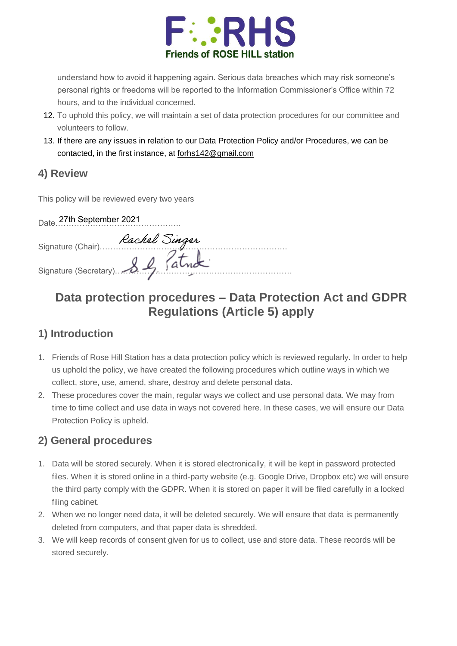

understand how to avoid it happening again. Serious data breaches which may risk someone's personal rights or freedoms will be reported to the Information Commissioner's Office within 72 hours, and to the individual concerned.

- 12. To uphold this policy, we will maintain a set of data protection procedures for our committee and volunteers to follow.
- 13. If there are any issues in relation to our Data Protection Policy and/or Procedures, we can be contacted, in the first instance, at [forhs142@gmail.com](mailto:forhs142@gmail.com)

#### **4) Review**

This policy will be reviewed every two years

| Date 27th September 2021         |  |
|----------------------------------|--|
| Signature (Chair) Rachel Singer  |  |
| Signature (Secretary) 8 & fature |  |
|                                  |  |

# **Data protection procedures – Data Protection Act and GDPR Regulations (Article 5) apply**

### **1) Introduction**

- 1. Friends of Rose Hill Station has a data protection policy which is reviewed regularly. In order to help us uphold the policy, we have created the following procedures which outline ways in which we collect, store, use, amend, share, destroy and delete personal data.
- 2. These procedures cover the main, regular ways we collect and use personal data. We may from time to time collect and use data in ways not covered here. In these cases, we will ensure our Data Protection Policy is upheld.

### **2) General procedures**

- 1. Data will be stored securely. When it is stored electronically, it will be kept in password protected files. When it is stored online in a third-party website (e.g. Google Drive, Dropbox etc) we will ensure the third party comply with the GDPR. When it is stored on paper it will be filed carefully in a locked filing cabinet.
- 2. When we no longer need data, it will be deleted securely. We will ensure that data is permanently deleted from computers, and that paper data is shredded.
- 3. We will keep records of consent given for us to collect, use and store data. These records will be stored securely.